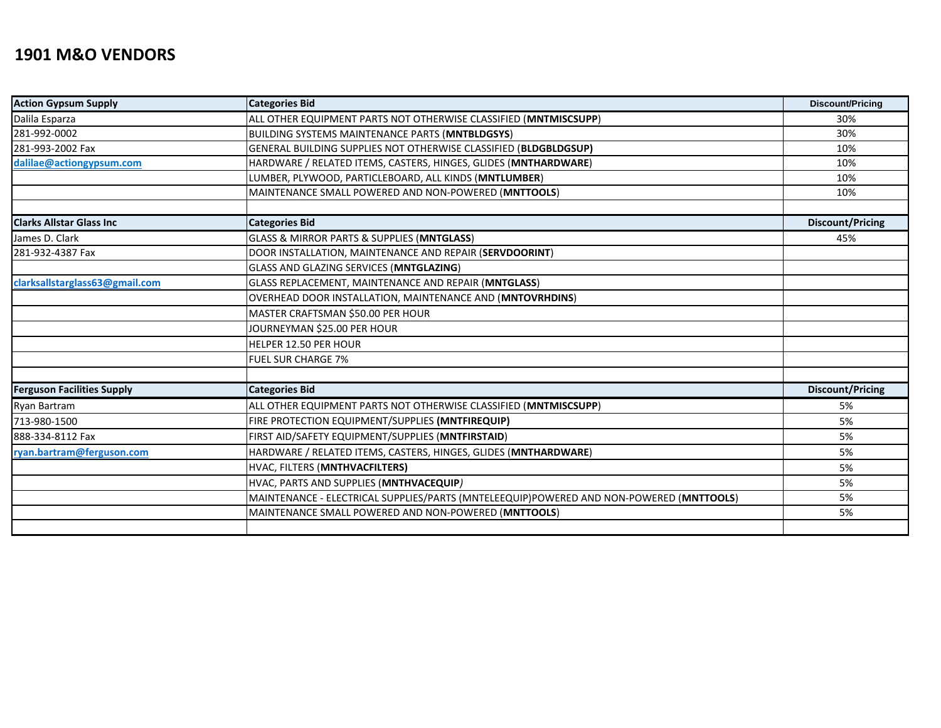## **1901 M&O VENDORS**

| <b>Action Gypsum Supply</b>       | <b>Categories Bid</b>                                                                   | <b>Discount/Pricing</b> |
|-----------------------------------|-----------------------------------------------------------------------------------------|-------------------------|
| Dalila Esparza                    | ALL OTHER EQUIPMENT PARTS NOT OTHERWISE CLASSIFIED (MNTMISCSUPP)                        | 30%                     |
| 281-992-0002                      | BUILDING SYSTEMS MAINTENANCE PARTS (MNTBLDGSYS)                                         | 30%                     |
| 281-993-2002 Fax                  | GENERAL BUILDING SUPPLIES NOT OTHERWISE CLASSIFIED (BLDGBLDGSUP)                        | 10%                     |
| dalilae@actiongypsum.com          | HARDWARE / RELATED ITEMS, CASTERS, HINGES, GLIDES (MNTHARDWARE)                         | 10%                     |
|                                   | LUMBER, PLYWOOD, PARTICLEBOARD, ALL KINDS (MNTLUMBER)                                   | 10%                     |
|                                   | MAINTENANCE SMALL POWERED AND NON-POWERED (MNTTOOLS)                                    | 10%                     |
|                                   |                                                                                         |                         |
| <b>Clarks Allstar Glass Inc</b>   | <b>Categories Bid</b>                                                                   | <b>Discount/Pricing</b> |
| James D. Clark                    | GLASS & MIRROR PARTS & SUPPLIES (MNTGLASS)                                              | 45%                     |
| 281-932-4387 Fax                  | DOOR INSTALLATION, MAINTENANCE AND REPAIR (SERVDOORINT)                                 |                         |
|                                   | GLASS AND GLAZING SERVICES (MNTGLAZING)                                                 |                         |
| clarksallstarglass63@gmail.com    | GLASS REPLACEMENT, MAINTENANCE AND REPAIR (MNTGLASS)                                    |                         |
|                                   | OVERHEAD DOOR INSTALLATION, MAINTENANCE AND (MNTOVRHDINS)                               |                         |
|                                   | MASTER CRAFTSMAN \$50.00 PER HOUR                                                       |                         |
|                                   | JOURNEYMAN \$25.00 PER HOUR                                                             |                         |
|                                   | <b>HELPER 12.50 PER HOUR</b>                                                            |                         |
|                                   | <b>FUEL SUR CHARGE 7%</b>                                                               |                         |
|                                   |                                                                                         |                         |
| <b>Ferguson Facilities Supply</b> | <b>Categories Bid</b>                                                                   | <b>Discount/Pricing</b> |
| Ryan Bartram                      | ALL OTHER EQUIPMENT PARTS NOT OTHERWISE CLASSIFIED (MNTMISCSUPP)                        | 5%                      |
| 713-980-1500                      | FIRE PROTECTION EQUIPMENT/SUPPLIES (MNTFIREQUIP)                                        | 5%                      |
| 888-334-8112 Fax                  | FIRST AID/SAFETY EQUIPMENT/SUPPLIES (MNTFIRSTAID)                                       | 5%                      |
| ryan.bartram@ferguson.com         | HARDWARE / RELATED ITEMS, CASTERS, HINGES, GLIDES (MNTHARDWARE)                         | 5%                      |
|                                   | HVAC, FILTERS (MNTHVACFILTERS)                                                          | 5%                      |
|                                   | HVAC, PARTS AND SUPPLIES (MNTHVACEQUIP)                                                 | 5%                      |
|                                   | MAINTENANCE - ELECTRICAL SUPPLIES/PARTS (MNTELEEQUIP)POWERED AND NON-POWERED (MNTTOOLS) | 5%                      |
|                                   | MAINTENANCE SMALL POWERED AND NON-POWERED (MNTTOOLS)                                    | 5%                      |
|                                   |                                                                                         |                         |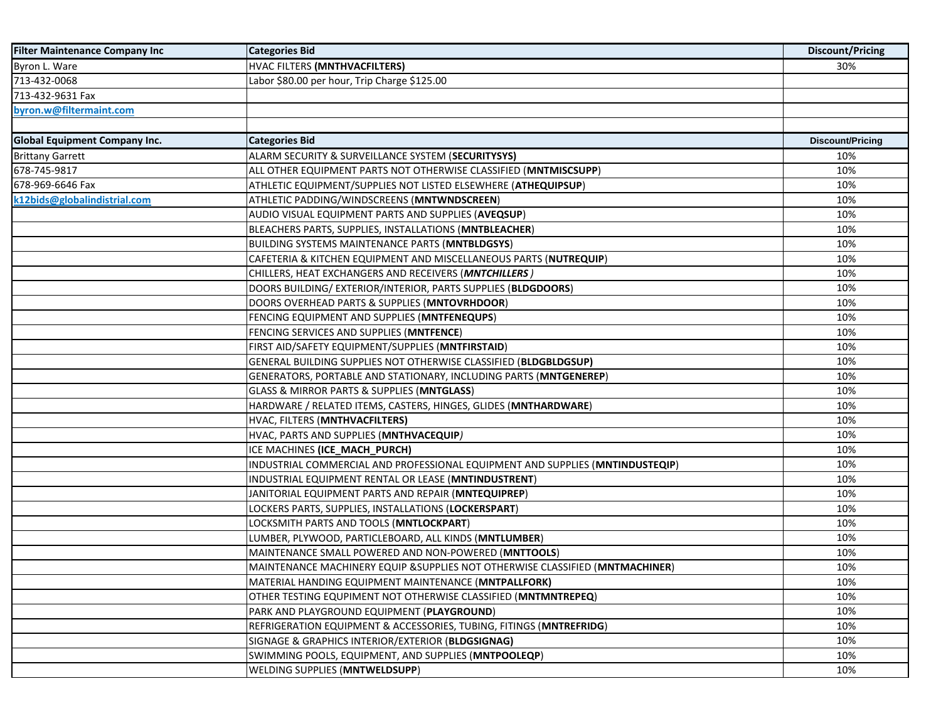| <b>Filter Maintenance Company Inc</b> | <b>Categories Bid</b>                                                         | <b>Discount/Pricing</b> |
|---------------------------------------|-------------------------------------------------------------------------------|-------------------------|
| Byron L. Ware                         | HVAC FILTERS (MNTHVACFILTERS)                                                 | 30%                     |
| 713-432-0068                          | Labor \$80.00 per hour, Trip Charge \$125.00                                  |                         |
| 713-432-9631 Fax                      |                                                                               |                         |
| byron.w@filtermaint.com               |                                                                               |                         |
|                                       |                                                                               |                         |
| <b>Global Equipment Company Inc.</b>  | <b>Categories Bid</b>                                                         | <b>Discount/Pricing</b> |
| <b>Brittany Garrett</b>               | ALARM SECURITY & SURVEILLANCE SYSTEM (SECURITYSYS)                            | 10%                     |
| 678-745-9817                          | ALL OTHER EQUIPMENT PARTS NOT OTHERWISE CLASSIFIED (MNTMISCSUPP)              | 10%                     |
| 678-969-6646 Fax                      | ATHLETIC EQUIPMENT/SUPPLIES NOT LISTED ELSEWHERE (ATHEQUIPSUP)                | 10%                     |
| k12bids@globalindistrial.com          | ATHLETIC PADDING/WINDSCREENS (MNTWNDSCREEN)                                   | 10%                     |
|                                       | AUDIO VISUAL EQUIPMENT PARTS AND SUPPLIES (AVEQSUP)                           | 10%                     |
|                                       | BLEACHERS PARTS, SUPPLIES, INSTALLATIONS (MNTBLEACHER)                        | 10%                     |
|                                       | BUILDING SYSTEMS MAINTENANCE PARTS (MNTBLDGSYS)                               | 10%                     |
|                                       | CAFETERIA & KITCHEN EQUIPMENT AND MISCELLANEOUS PARTS (NUTREQUIP)             | 10%                     |
|                                       | CHILLERS, HEAT EXCHANGERS AND RECEIVERS (MNTCHILLERS)                         | 10%                     |
|                                       | DOORS BUILDING/ EXTERIOR/INTERIOR, PARTS SUPPLIES (BLDGDOORS)                 | 10%                     |
|                                       | DOORS OVERHEAD PARTS & SUPPLIES (MNTOVRHDOOR)                                 | 10%                     |
|                                       | FENCING EQUIPMENT AND SUPPLIES (MNTFENEQUPS)                                  | 10%                     |
|                                       | FENCING SERVICES AND SUPPLIES (MNTFENCE)                                      | 10%                     |
|                                       | FIRST AID/SAFETY EQUIPMENT/SUPPLIES (MNTFIRSTAID)                             | 10%                     |
|                                       | GENERAL BUILDING SUPPLIES NOT OTHERWISE CLASSIFIED (BLDGBLDGSUP)              | 10%                     |
|                                       | GENERATORS, PORTABLE AND STATIONARY, INCLUDING PARTS (MNTGENEREP)             | 10%                     |
|                                       | GLASS & MIRROR PARTS & SUPPLIES (MNTGLASS)                                    | 10%                     |
|                                       | HARDWARE / RELATED ITEMS, CASTERS, HINGES, GLIDES (MNTHARDWARE)               | 10%                     |
|                                       | HVAC, FILTERS (MNTHVACFILTERS)                                                | 10%                     |
|                                       | HVAC, PARTS AND SUPPLIES (MNTHVACEQUIP)                                       | 10%                     |
|                                       | ICE MACHINES (ICE_MACH_PURCH)                                                 | 10%                     |
|                                       | INDUSTRIAL COMMERCIAL AND PROFESSIONAL EQUIPMENT AND SUPPLIES (MNTINDUSTEQIP) | 10%                     |
|                                       | INDUSTRIAL EQUIPMENT RENTAL OR LEASE (MNTINDUSTRENT)                          | 10%                     |
|                                       | JANITORIAL EQUIPMENT PARTS AND REPAIR (MNTEQUIPREP)                           | 10%                     |
|                                       | LOCKERS PARTS, SUPPLIES, INSTALLATIONS (LOCKERSPART)                          | 10%                     |
|                                       | LOCKSMITH PARTS AND TOOLS (MNTLOCKPART)                                       | 10%                     |
|                                       | LUMBER, PLYWOOD, PARTICLEBOARD, ALL KINDS ( <b>MNTLUMBER</b> )                | 10%                     |
|                                       | MAINTENANCE SMALL POWERED AND NON-POWERED (MNTTOOLS)                          | 10%                     |
|                                       | MAINTENANCE MACHINERY EQUIP & SUPPLIES NOT OTHERWISE CLASSIFIED (MNTMACHINER) | 10%                     |
|                                       | MATERIAL HANDING EQUIPMENT MAINTENANCE (MNTPALLFORK)                          | 10%                     |
|                                       | OTHER TESTING EQUPIMENT NOT OTHERWISE CLASSIFIED (MNTMNTREPEQ)                | 10%                     |
|                                       | PARK AND PLAYGROUND EQUIPMENT (PLAYGROUND)                                    | 10%                     |
|                                       | REFRIGERATION EQUIPMENT & ACCESSORIES, TUBING, FITINGS (MNTREFRIDG)           | 10%                     |
|                                       | SIGNAGE & GRAPHICS INTERIOR/EXTERIOR (BLDGSIGNAG)                             | 10%                     |
|                                       | SWIMMING POOLS, EQUIPMENT, AND SUPPLIES (MNTPOOLEQP)                          | 10%                     |
|                                       | WELDING SUPPLIES (MNTWELDSUPP)                                                | 10%                     |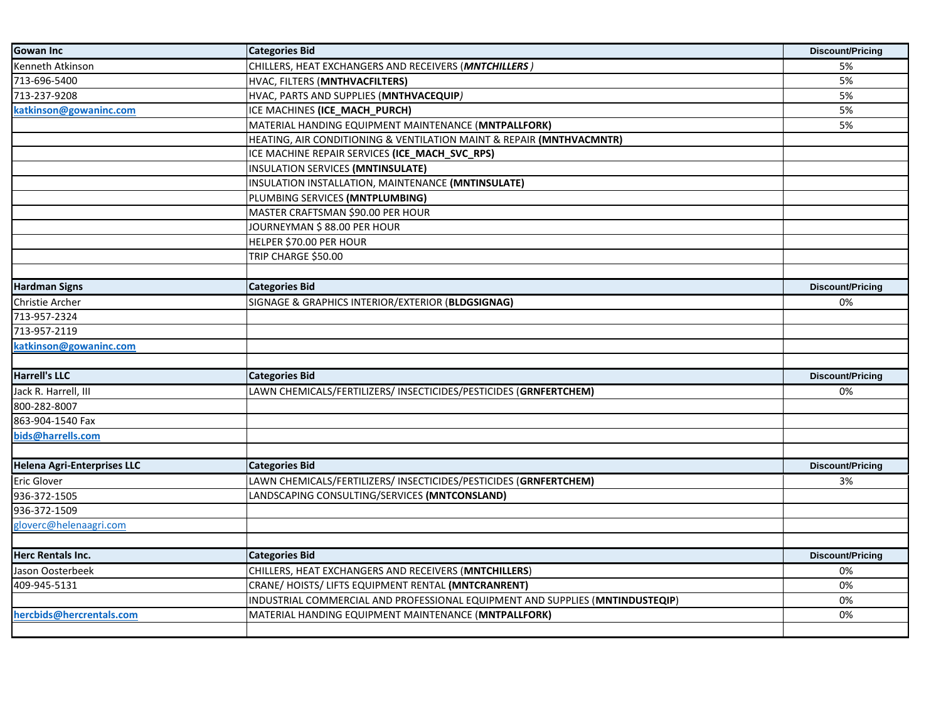| Gowan Inc                          | <b>Categories Bid</b>                                                         | <b>Discount/Pricing</b> |
|------------------------------------|-------------------------------------------------------------------------------|-------------------------|
| Kenneth Atkinson                   | CHILLERS, HEAT EXCHANGERS AND RECEIVERS (MNTCHILLERS)                         | 5%                      |
| 713-696-5400                       | HVAC, FILTERS (MNTHVACFILTERS)                                                | 5%                      |
| 713-237-9208                       | HVAC, PARTS AND SUPPLIES (MNTHVACEQUIP)                                       | 5%                      |
| katkinson@gowaninc.com             | ICE MACHINES (ICE_MACH_PURCH)                                                 | 5%                      |
|                                    | MATERIAL HANDING EQUIPMENT MAINTENANCE (MNTPALLFORK)                          | 5%                      |
|                                    | HEATING, AIR CONDITIONING & VENTILATION MAINT & REPAIR (MNTHVACMNTR)          |                         |
|                                    | ICE MACHINE REPAIR SERVICES (ICE_MACH_SVC_RPS)                                |                         |
|                                    | INSULATION SERVICES (MNTINSULATE)                                             |                         |
|                                    | INSULATION INSTALLATION, MAINTENANCE (MNTINSULATE)                            |                         |
|                                    | PLUMBING SERVICES (MNTPLUMBING)                                               |                         |
|                                    | MASTER CRAFTSMAN \$90.00 PER HOUR                                             |                         |
|                                    | JOURNEYMAN \$ 88.00 PER HOUR                                                  |                         |
|                                    | HELPER \$70.00 PER HOUR                                                       |                         |
|                                    | TRIP CHARGE \$50.00                                                           |                         |
|                                    |                                                                               |                         |
| <b>Hardman Signs</b>               | <b>Categories Bid</b>                                                         | <b>Discount/Pricing</b> |
| Christie Archer                    | SIGNAGE & GRAPHICS INTERIOR/EXTERIOR (BLDGSIGNAG)                             | 0%                      |
| 713-957-2324                       |                                                                               |                         |
| 713-957-2119                       |                                                                               |                         |
| katkinson@gowaninc.com             |                                                                               |                         |
|                                    |                                                                               |                         |
| <b>Harrell's LLC</b>               | <b>Categories Bid</b>                                                         | <b>Discount/Pricing</b> |
| Jack R. Harrell, III               | LAWN CHEMICALS/FERTILIZERS/ INSECTICIDES/PESTICIDES (GRNFERTCHEM)             | 0%                      |
| 800-282-8007                       |                                                                               |                         |
| 863-904-1540 Fax                   |                                                                               |                         |
| bids@harrells.com                  |                                                                               |                         |
|                                    |                                                                               |                         |
| <b>Helena Agri-Enterprises LLC</b> | <b>Categories Bid</b>                                                         | <b>Discount/Pricing</b> |
| Eric Glover                        | LAWN CHEMICALS/FERTILIZERS/ INSECTICIDES/PESTICIDES (GRNFERTCHEM)             | 3%                      |
| 936-372-1505                       | LANDSCAPING CONSULTING/SERVICES (MNTCONSLAND)                                 |                         |
| 936-372-1509                       |                                                                               |                         |
| gloverc@helenaagri.com             |                                                                               |                         |
|                                    |                                                                               |                         |
| Herc Rentals Inc.                  | <b>Categories Bid</b>                                                         | <b>Discount/Pricing</b> |
| Jason Oosterbeek                   | CHILLERS, HEAT EXCHANGERS AND RECEIVERS (MNTCHILLERS)                         | 0%                      |
| 409-945-5131                       | CRANE/ HOISTS/ LIFTS EQUIPMENT RENTAL (MNTCRANRENT)                           | 0%                      |
|                                    | INDUSTRIAL COMMERCIAL AND PROFESSIONAL EQUIPMENT AND SUPPLIES (MNTINDUSTEQIP) | 0%                      |
| hercbids@hercrentals.com           | MATERIAL HANDING EQUIPMENT MAINTENANCE (MNTPALLFORK)                          | 0%                      |
|                                    |                                                                               |                         |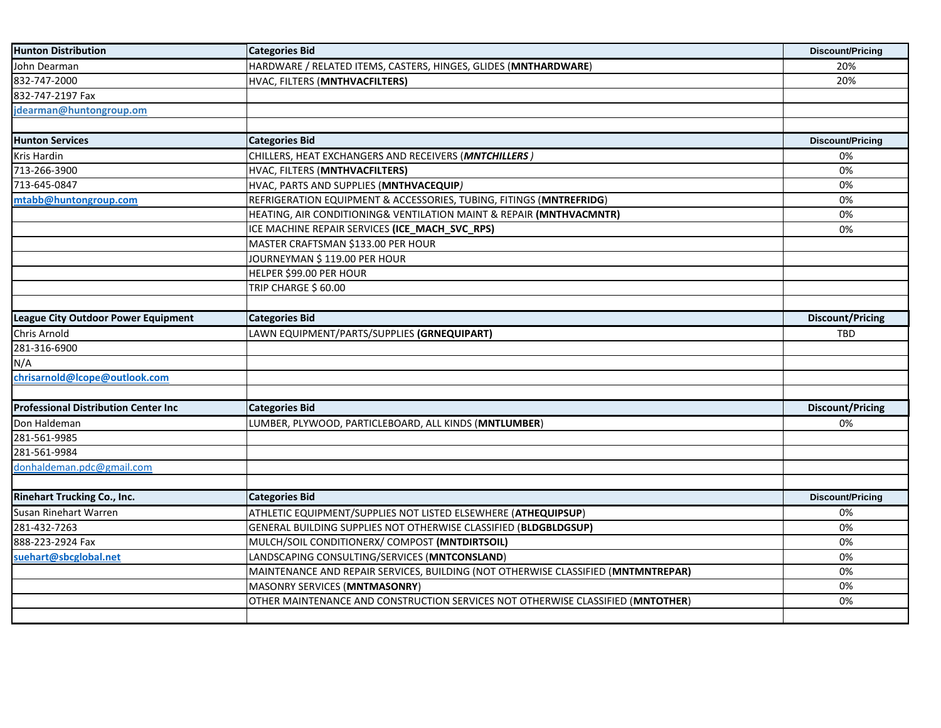| <b>Hunton Distribution</b>                   | <b>Categories Bid</b>                                                             | <b>Discount/Pricing</b> |
|----------------------------------------------|-----------------------------------------------------------------------------------|-------------------------|
| John Dearman                                 | HARDWARE / RELATED ITEMS, CASTERS, HINGES, GLIDES (MNTHARDWARE)                   | 20%                     |
| 832-747-2000                                 | HVAC, FILTERS (MNTHVACFILTERS)                                                    | 20%                     |
| 832-747-2197 Fax                             |                                                                                   |                         |
| jdearman@huntongroup.om                      |                                                                                   |                         |
|                                              |                                                                                   |                         |
| <b>Hunton Services</b>                       | <b>Categories Bid</b>                                                             | <b>Discount/Pricing</b> |
| Kris Hardin                                  | CHILLERS, HEAT EXCHANGERS AND RECEIVERS (MNTCHILLERS)                             | 0%                      |
| 713-266-3900                                 | HVAC, FILTERS (MNTHVACFILTERS)                                                    | 0%                      |
| 713-645-0847                                 | HVAC, PARTS AND SUPPLIES (MNTHVACEQUIP)                                           | 0%                      |
| mtabb@huntongroup.com                        | REFRIGERATION EQUIPMENT & ACCESSORIES, TUBING, FITINGS (MNTREFRIDG)               | 0%                      |
|                                              | HEATING, AIR CONDITIONING& VENTILATION MAINT & REPAIR (MNTHVACMNTR)               | 0%                      |
|                                              | ICE MACHINE REPAIR SERVICES (ICE_MACH_SVC_RPS)                                    | 0%                      |
|                                              | MASTER CRAFTSMAN \$133.00 PER HOUR                                                |                         |
|                                              | JOURNEYMAN \$ 119.00 PER HOUR                                                     |                         |
|                                              | HELPER \$99.00 PER HOUR                                                           |                         |
|                                              | TRIP CHARGE \$60.00                                                               |                         |
|                                              |                                                                                   |                         |
| <b>League City Outdoor Power Equipment</b>   | <b>Categories Bid</b>                                                             | <b>Discount/Pricing</b> |
| Chris Arnold                                 | LAWN EQUIPMENT/PARTS/SUPPLIES (GRNEQUIPART)                                       | <b>TBD</b>              |
| 281-316-6900                                 |                                                                                   |                         |
| N/A                                          |                                                                                   |                         |
| chrisarnold@lcope@outlook.com                |                                                                                   |                         |
|                                              |                                                                                   |                         |
| <b>Professional Distribution Center Inc.</b> | <b>Categories Bid</b>                                                             | <b>Discount/Pricing</b> |
| Don Haldeman                                 | LUMBER, PLYWOOD, PARTICLEBOARD, ALL KINDS ( <b>MNTLUMBER</b> )                    | 0%                      |
| 281-561-9985                                 |                                                                                   |                         |
| 281-561-9984                                 |                                                                                   |                         |
| donhaldeman.pdc@gmail.com                    |                                                                                   |                         |
|                                              |                                                                                   |                         |
| <b>Rinehart Trucking Co., Inc.</b>           | <b>Categories Bid</b>                                                             | <b>Discount/Pricing</b> |
| Susan Rinehart Warren                        | ATHLETIC EQUIPMENT/SUPPLIES NOT LISTED ELSEWHERE (ATHEQUIPSUP)                    | 0%                      |
| 281-432-7263                                 | GENERAL BUILDING SUPPLIES NOT OTHERWISE CLASSIFIED (BLDGBLDGSUP)                  | 0%                      |
| 888-223-2924 Fax                             | MULCH/SOIL CONDITIONERX/ COMPOST (MNTDIRTSOIL)                                    | 0%                      |
| suehart@sbcglobal.net                        | LANDSCAPING CONSULTING/SERVICES (MNTCONSLAND)                                     | 0%                      |
|                                              | MAINTENANCE AND REPAIR SERVICES, BUILDING (NOT OTHERWISE CLASSIFIED (MNTMNTREPAR) | 0%                      |
|                                              | MASONRY SERVICES (MNTMASONRY)                                                     | 0%                      |
|                                              | OTHER MAINTENANCE AND CONSTRUCTION SERVICES NOT OTHERWISE CLASSIFIED (MNTOTHER)   | 0%                      |
|                                              |                                                                                   |                         |